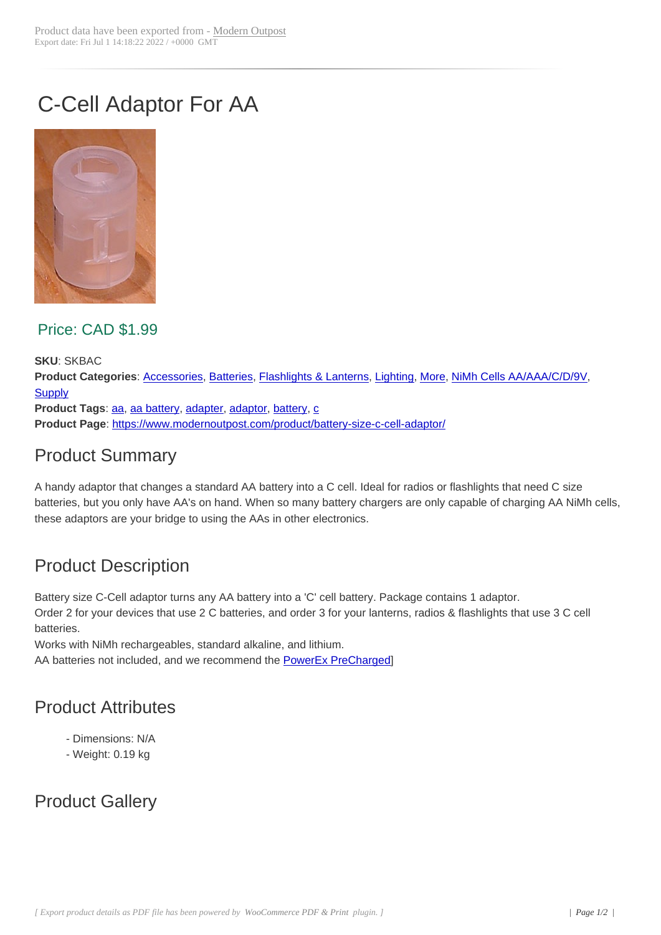# C-Cell Adaptor For AA



Price: CAD \$1.99

**SKU**: SKBAC **Product Categories**: Accessories, Batteries, Flashlights & Lanterns, Lighting, More, NiMh Cells AA/AAA/C/D/9V, **Supply** Product Tags: aa, aa battery, adapter, adaptor, battery, c **Product Page**: https:/[/www.moder](https://www.modernoutpost.com/product-category/solar-equipment-store-canada/other-bits/accessories/)[noutpost.c](https://www.modernoutpost.com/product-category/solar-equipment-store-canada/battery-packs/)[om/product/battery-size](https://www.modernoutpost.com/product-category/solar-equipment-store-canada/led-lighting-canada/flashlights-lanterns/)-[c-cell-ad](https://www.modernoutpost.com/product-category/solar-equipment-store-canada/led-lighting-canada/)[aptor/](https://www.modernoutpost.com/product-category/more-cool-gear/)

### [Prod](https://www.modernoutpost.com/product-category/solar-equipment-store-canada/)uct [Su](https://www.modernoutpost.com/product-tag/aa/)[mmary](https://www.modernoutpost.com/product-tag/aa-battery/)

A handy adapt[or that changes a standard AA battery into a C cell. Ideal for radios or](https://www.modernoutpost.com/product/battery-size-c-cell-adaptor/) flashlights that need C size batteries, but you only have AA's on hand. When so many battery chargers are only capable of charging AA NiMh cells, these adaptors are your bridge to using the AAs in other electronics.

## Product Description

Battery size C-Cell adaptor turns any AA battery into a 'C' cell battery. Package contains 1 adaptor.

Order 2 for your devices that use 2 C batteries, and order 3 for your lanterns, radios & flashlights that use 3 C cell batteries.

Works with NiMh rechargeables, standard alkaline, and lithium. AA batteries not included, and we recommend the **PowerEx PreCharged**]

## Product Attributes

- Dimensions: N/A
- Weight: 0.19 kg

## Product Gallery